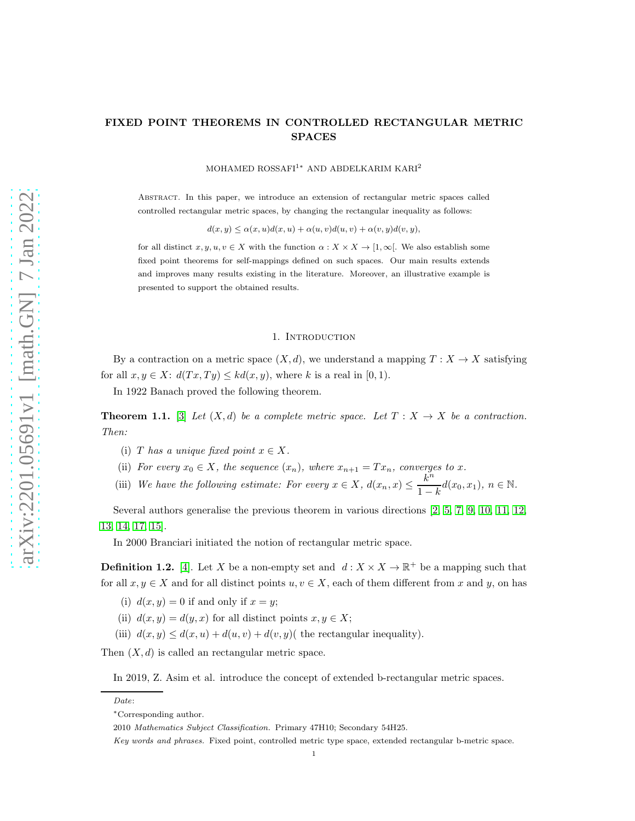MOHAMED ROSSAFI1<sup>∗</sup> AND ABDELKARIM KARI<sup>2</sup>

Abstract. In this paper, we introduce an extension of rectangular metric spaces called controlled rectangular metric spaces, by changing the rectangular inequality as follows:

 $d(x, y) \leq \alpha(x, u)d(x, u) + \alpha(u, v)d(u, v) + \alpha(v, y)d(v, y),$ 

for all distinct  $x, y, u, v \in X$  with the function  $\alpha : X \times X \to [1, \infty]$ . We also establish some fixed point theorems for self-mappings defined on such spaces. Our main results extends and improves many results existing in the literature. Moreover, an illustrative example is presented to support the obtained results.

## 1. INTRODUCTION

By a contraction on a metric space  $(X, d)$ , we understand a mapping  $T : X \to X$  satisfying for all  $x, y \in X$ :  $d(Tx, Ty) \leq kd(x, y)$ , where k is a real in [0, 1).

In 1922 Banach proved the following theorem.

**Theorem 1.1.** [\[3\]](#page-15-0) Let  $(X, d)$  be a complete metric space. Let  $T : X \to X$  be a contraction. *Then:*

- (i) T has a unique fixed point  $x \in X$ .
- (ii) *For every*  $x_0 \in X$ *, the sequence*  $(x_n)$ *, where*  $x_{n+1} = Tx_n$ *, converges to* x.
- (iii) We have the following estimate: For every  $x \in X$ ,  $d(x_n, x) \leq \frac{k^n}{1 k}$  $\frac{\kappa}{1-k}$ d(x<sub>0</sub>, x<sub>1</sub>), n  $\in \mathbb{N}$ .

Several authors generalise the previous theorem in various directions [\[2,](#page-15-1) [5,](#page-15-2) [7,](#page-15-3) [9,](#page-15-4) [10,](#page-15-5) [11,](#page-15-6) [12,](#page-15-7) [13,](#page-15-8) [14,](#page-15-9) [17,](#page-15-10) [15\]](#page-15-11).

In 2000 Branciari initiated the notion of rectangular metric space.

**Definition 1.2.** [\[4\]](#page-15-12). Let X be a non-empty set and  $d: X \times X \to \mathbb{R}^+$  be a mapping such that for all  $x, y \in X$  and for all distinct points  $u, v \in X$ , each of them different from x and y, on has

- (i)  $d(x, y) = 0$  if and only if  $x = y$ ;
- (ii)  $d(x, y) = d(y, x)$  for all distinct points  $x, y \in X$ ;
- (iii)  $d(x, y) \leq d(x, u) + d(u, v) + d(v, y)$  (the rectangular inequality).

Then  $(X, d)$  is called an rectangular metric space.

In 2019, Z. Asim et al. introduce the concept of extended b-rectangular metric spaces.

Date:

<sup>∗</sup>Corresponding author.

<sup>2010</sup> Mathematics Subject Classification. Primary 47H10; Secondary 54H25.

Key words and phrases. Fixed point, controlled metric type space, extended rectangular b-metric space.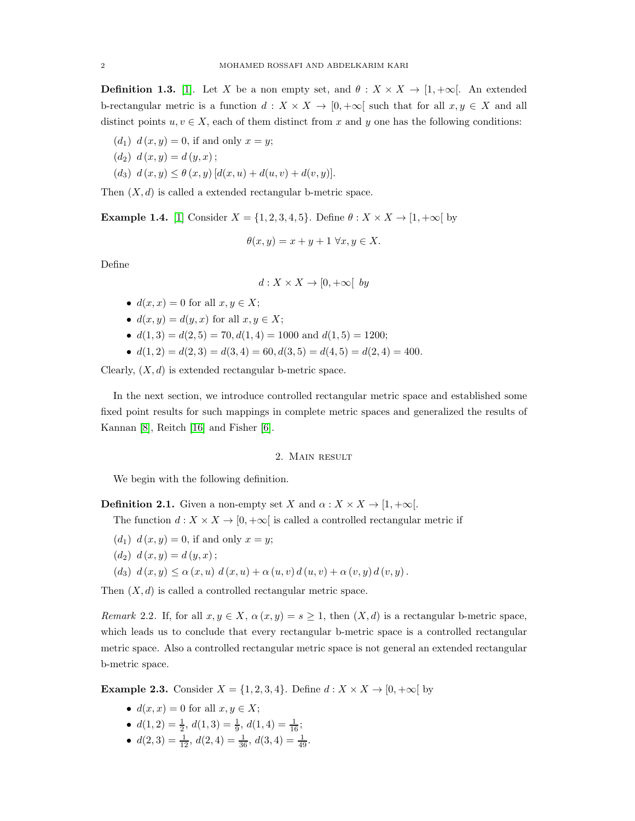**Definition 1.3.** [\[1\]](#page-15-13). Let X be a non empty set, and  $\theta : X \times X \to [1, +\infty]$ . An extended b-rectangular metric is a function  $d: X \times X \to [0, +\infty[$  such that for all  $x, y \in X$  and all distinct points  $u, v \in X$ , each of them distinct from x and y one has the following conditions:

- $(d_1) d(x, y) = 0$ , if and only  $x = y$ ;
- $(d_2) d(x, y) = d(y, x)$ ;
- (d<sub>3</sub>)  $d(x, y) \leq \theta(x, y) [d(x, u) + d(u, v) + d(v, y)].$

Then  $(X, d)$  is called a extended rectangular b-metric space.

**Example 1.4.** [\[1\]](#page-15-13) Consider  $X = \{1, 2, 3, 4, 5\}$ . Define  $\theta : X \times X \rightarrow [1, +\infty[$  by

$$
\theta(x, y) = x + y + 1 \,\forall x, y \in X.
$$

Define

$$
d: X \times X \to [0, +\infty[ \text{ by }
$$

- $d(x, x) = 0$  for all  $x, y \in X$ ;
- $d(x, y) = d(y, x)$  for all  $x, y \in X$ ;
- $d(1,3) = d(2,5) = 70, d(1,4) = 1000$  and  $d(1,5) = 1200$ ;
- $d(1,2) = d(2,3) = d(3,4) = 60, d(3,5) = d(4,5) = d(2,4) = 400.$

Clearly,  $(X, d)$  is extended rectangular b-metric space.

In the next section, we introduce controlled rectangular metric space and established some fixed point results for such mappings in complete metric spaces and generalized the results of Kannan [\[8\]](#page-15-14), Reitch [\[16\]](#page-15-15) and Fisher [\[6\]](#page-15-16).

## 2. Main result

We begin with the following definition.

**Definition 2.1.** Given a non-empty set X and  $\alpha : X \times X \to [1, +\infty[$ .

The function  $d: X \times X \rightarrow [0,+\infty[$  is called a controlled rectangular metric if

- $(d_1) d(x, y) = 0$ , if and only  $x = y$ ;
- $(d_2) d(x, y) = d(y, x)$ ;
- (d<sub>3</sub>)  $d(x, y) \leq \alpha(x, u) d(x, u) + \alpha(u, v) d(u, v) + \alpha(v, y) d(v, y)$ .

Then  $(X, d)$  is called a controlled rectangular metric space.

*Remark* 2.2. If, for all  $x, y \in X$ ,  $\alpha(x, y) = s \ge 1$ , then  $(X, d)$  is a rectangular b-metric space, which leads us to conclude that every rectangular b-metric space is a controlled rectangular metric space. Also a controlled rectangular metric space is not general an extended rectangular b-metric space.

**Example 2.3.** Consider  $X = \{1, 2, 3, 4\}$ . Define  $d : X \times X \rightarrow [0, +\infty[$  by

- $d(x, x) = 0$  for all  $x, y \in X$ ;
- $d(1,2) = \frac{1}{2}, d(1,3) = \frac{1}{9}, d(1,4) = \frac{1}{16};$
- $d(2,3) = \frac{1}{12}, d(2,4) = \frac{1}{36}, d(3,4) = \frac{1}{49}.$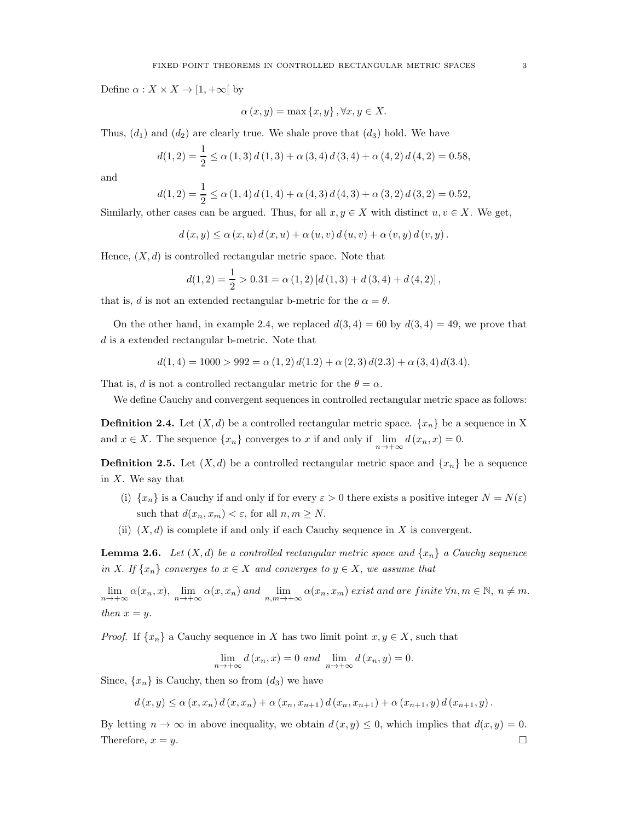Define  $\alpha: X \times X \to [1, +\infty[$  by

$$
\alpha(x, y) = \max\{x, y\}, \forall x, y \in X.
$$

Thus,  $(d_1)$  and  $(d_2)$  are clearly true. We shale prove that  $(d_3)$  hold. We have

$$
d(1,2) = \frac{1}{2} \le \alpha(1,3) d(1,3) + \alpha(3,4) d(3,4) + \alpha(4,2) d(4,2) = 0.58,
$$

and

$$
d(1,2) = \frac{1}{2} \le \alpha(1,4) d(1,4) + \alpha(4,3) d(4,3) + \alpha(3,2) d(3,2) = 0.52,
$$

Similarly, other cases can be argued. Thus, for all  $x, y \in X$  with distinct  $u, v \in X$ . We get,

$$
d(x, y) \leq \alpha(x, u) d(x, u) + \alpha(u, v) d(u, v) + \alpha(v, y) d(v, y).
$$

Hence,  $(X, d)$  is controlled rectangular metric space. Note that

$$
d(1,2) = \frac{1}{2} > 0.31 = \alpha(1,2) [d(1,3) + d(3,4) + d(4,2)],
$$

that is, d is not an extended rectangular b-metric for the  $\alpha = \theta$ .

On the other hand, in example 2.4, we replaced  $d(3, 4) = 60$  by  $d(3, 4) = 49$ , we prove that d is a extended rectangular b-metric. Note that

$$
d(1,4) = 1000 > 992 = \alpha(1,2) d(1.2) + \alpha(2,3) d(2.3) + \alpha(3,4) d(3.4).
$$

That is, d is not a controlled rectangular metric for the  $\theta = \alpha$ .

We define Cauchy and convergent sequences in controlled rectangular metric space as follows:

**Definition 2.4.** Let  $(X, d)$  be a controlled rectangular metric space.  $\{x_n\}$  be a sequence in X and  $x \in X$ . The sequence  $\{x_n\}$  converges to x if and only if  $\lim_{n \to +\infty} d(x_n, x) = 0$ .

**Definition 2.5.** Let  $(X, d)$  be a controlled rectangular metric space and  $\{x_n\}$  be a sequence in  $X$ . We say that

- (i)  $\{x_n\}$  is a Cauchy if and only if for every  $\varepsilon > 0$  there exists a positive integer  $N = N(\varepsilon)$ such that  $d(x_n, x_m) < \varepsilon$ , for all  $n, m \geq N$ .
- (ii)  $(X, d)$  is complete if and only if each Cauchy sequence in X is convergent.

**Lemma 2.6.** *Let*  $(X, d)$  *be a controlled rectangular metric space and*  $\{x_n\}$  *a Cauchy sequence in X. If*  $\{x_n\}$  *converges to*  $x \in X$  *and converges to*  $y \in X$ *, we assume that* 

 $\lim_{n\to+\infty} \alpha(x_n, x)$ ,  $\lim_{n\to+\infty} \alpha(x, x_n)$  and  $\lim_{n,m\to+\infty} \alpha(x_n, x_m)$  exist and are finite  $\forall n, m \in \mathbb{N}$ ,  $n \neq m$ . *then*  $x = y$ .

*Proof.* If  $\{x_n\}$  a Cauchy sequence in X has two limit point  $x, y \in X$ , such that

$$
\lim_{n \to +\infty} d(x_n, x) = 0 \text{ and } \lim_{n \to +\infty} d(x_n, y) = 0.
$$

Since,  $\{x_n\}$  is Cauchy, then so from  $(d_3)$  we have

 $d(x,y) \leq \alpha(x,x_n) d(x,x_n) + \alpha(x_n,x_{n+1}) d(x_n,x_{n+1}) + \alpha(x_{n+1},y) d(x_{n+1},y).$ 

By letting  $n \to \infty$  in above inequality, we obtain  $d(x, y) \leq 0$ , which implies that  $d(x, y) = 0$ . Therefore,  $x = y$ .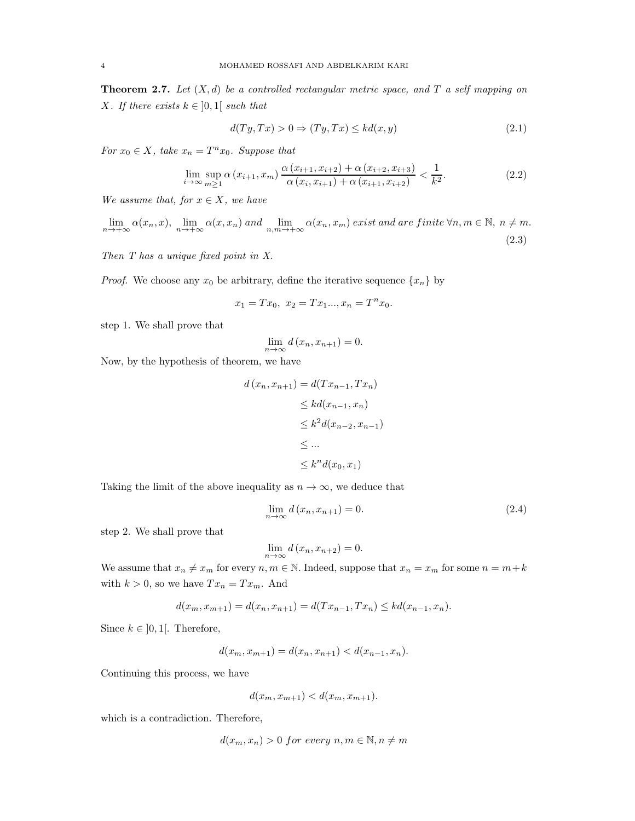Theorem 2.7. *Let* (X, d) *be a controlled rectangular metric space, and* T *a self mapping on X. If there exists*  $k \in [0,1]$  *such that* 

$$
d(Ty, Tx) > 0 \Rightarrow (Ty, Tx) \leq kd(x, y)
$$
\n(2.1)

*For*  $x_0 \in X$ *, take*  $x_n = T^n x_0$ *. Suppose that* 

$$
\lim_{i \to \infty} \sup_{m \ge 1} \alpha \left( x_{i+1}, x_m \right) \frac{\alpha \left( x_{i+1}, x_{i+2} \right) + \alpha \left( x_{i+2}, x_{i+3} \right)}{\alpha \left( x_i, x_{i+1} \right) + \alpha \left( x_{i+1}, x_{i+2} \right)} < \frac{1}{k^2}.\tag{2.2}
$$

*We assume that, for*  $x \in X$ *, we have* 

$$
\lim_{n \to +\infty} \alpha(x_n, x), \lim_{n \to +\infty} \alpha(x, x_n) \text{ and } \lim_{n,m \to +\infty} \alpha(x_n, x_m) \text{ exist and are finite } \forall n, m \in \mathbb{N}, n \neq m.
$$
\n(2.3)

*Then T has a unique fixed point in X.*

*Proof.* We choose any  $x_0$  be arbitrary, define the iterative sequence  $\{x_n\}$  by

$$
x_1 = Tx_0, \ x_2 = Tx_1..., x_n = T^n x_0.
$$

step 1. We shall prove that

$$
\lim_{n \to \infty} d(x_n, x_{n+1}) = 0.
$$

Now, by the hypothesis of theorem, we have

$$
d(x_n, x_{n+1}) = d(Tx_{n-1}, Tx_n)
$$
  
\n
$$
\leq kd(x_{n-1}, x_n)
$$
  
\n
$$
\leq k^2 d(x_{n-2}, x_{n-1})
$$
  
\n
$$
\leq \dots
$$
  
\n
$$
\leq k^n d(x_0, x_1)
$$

Taking the limit of the above inequality as  $n \to \infty$ , we deduce that

$$
\lim_{n \to \infty} d(x_n, x_{n+1}) = 0. \tag{2.4}
$$

step 2. We shall prove that

$$
\lim_{n \to \infty} d(x_n, x_{n+2}) = 0.
$$

We assume that  $x_n \neq x_m$  for every  $n, m \in \mathbb{N}$ . Indeed, suppose that  $x_n = x_m$  for some  $n = m+k$ with  $k > 0$ , so we have  $Tx_n = Tx_m$ . And

$$
d(x_m, x_{m+1}) = d(x_n, x_{n+1}) = d(Tx_{n-1}, Tx_n) \leq kd(x_{n-1}, x_n).
$$

Since  $k \in [0,1]$ . Therefore,

$$
d(x_m, x_{m+1}) = d(x_n, x_{n+1}) < d(x_{n-1}, x_n).
$$

Continuing this process, we have

$$
d(x_m, x_{m+1}) < d(x_m, x_{m+1}).
$$

which is a contradiction. Therefore,

$$
d(x_m, x_n) > 0 \ for \ every \ n, m \in \mathbb{N}, n \neq m
$$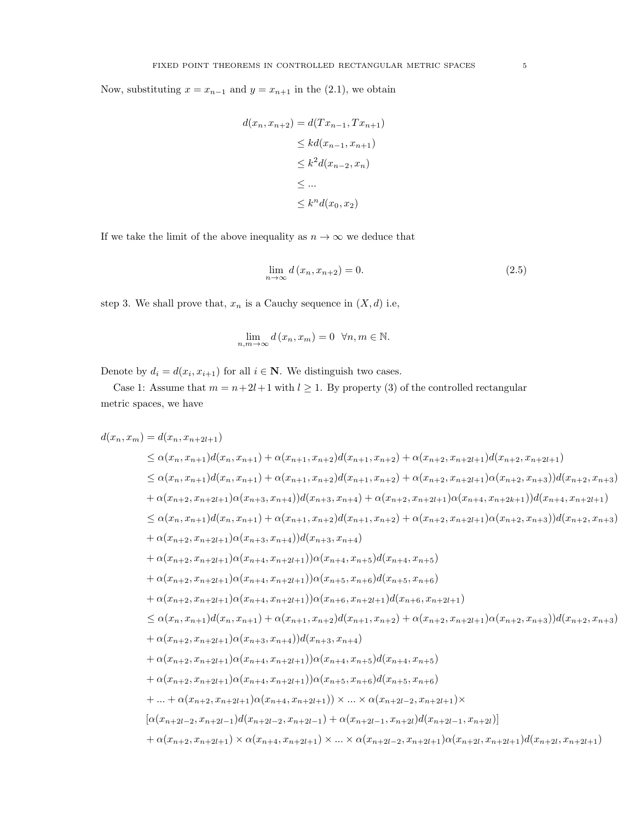Now, substituting  $x = x_{n-1}$  and  $y = x_{n+1}$  in the (2.1), we obtain

$$
d(x_n, x_{n+2}) = d(Tx_{n-1}, Tx_{n+1})
$$
  
\n
$$
\leq kd(x_{n-1}, x_{n+1})
$$
  
\n
$$
\leq k^2 d(x_{n-2}, x_n)
$$
  
\n
$$
\leq \dots
$$
  
\n
$$
\leq k^n d(x_0, x_2)
$$

If we take the limit of the above inequality as  $n \to \infty$  we deduce that

$$
\lim_{n \to \infty} d(x_n, x_{n+2}) = 0. \tag{2.5}
$$

step 3. We shall prove that,  $x_n$  is a Cauchy sequence in  $(X, d)$  i.e,

$$
\lim_{n,m \to \infty} d(x_n, x_m) = 0 \quad \forall n, m \in \mathbb{N}.
$$

Denote by  $d_i = d(x_i, x_{i+1})$  for all  $i \in \mathbb{N}$ . We distinguish two cases.

Case 1: Assume that  $m = n + 2l + 1$  with  $l \ge 1$ . By property (3) of the controlled rectangular metric spaces, we have

$$
d(x_n, x_m) = d(x_n, x_{n+1})d(x_n, x_{n+1}) + \alpha(x_{n+1}, x_{n+2})d(x_{n+1}, x_{n+2}) + \alpha(x_{n+2}, x_{n+2l+1})d(x_{n+2}, x_{n+2l+1})
$$
  
\n
$$
\leq \alpha(x_n, x_{n+1})d(x_n, x_{n+1}) + \alpha(x_{n+1}, x_{n+2})d(x_{n+1}, x_{n+2}) + \alpha(x_{n+2}, x_{n+2l+1})\alpha(x_{n+2}, x_{n+3})d(x_{n+2}, x_{n+3})
$$
  
\n
$$
+ \alpha(x_{n+2}, x_{n+2l+1})\alpha(x_{n+3}, x_{n+4})d(x_{n+3}, x_{n+4}) + \alpha(x_{n+2}, x_{n+2l+1})\alpha(x_{n+4}, x_{n+2k+1})d(x_{n+4}, x_{n+2l+1})
$$
  
\n
$$
\leq \alpha(x_n, x_{n+1})d(x_n, x_{n+1}) + \alpha(x_{n+1}, x_{n+2})d(x_{n+1}, x_{n+2}) + \alpha(x_{n+2}, x_{n+2l+1})\alpha(x_{n+2}, x_{n+3})d(x_{n+2}, x_{n+3})
$$
  
\n
$$
+ \alpha(x_{n+2}, x_{n+2l+1})\alpha(x_{n+3}, x_{n+4})d(x_{n+3}, x_{n+4})
$$
  
\n
$$
+ \alpha(x_{n+2}, x_{n+2l+1})\alpha(x_{n+4}, x_{n+2l+1})\alpha(x_{n+4}, x_{n+5})d(x_{n+4}, x_{n+5})
$$
  
\n
$$
+ \alpha(x_{n+2}, x_{n+2l+1})\alpha(x_{n+4}, x_{n+2l+1})\alpha(x_{n+5}, x_{n+6})d(x_{n+5}, x_{n+6})
$$
  
\n
$$
+ \alpha(x_{n+2}, x_{n+2l+1})\alpha(x_{n+4}, x_{n+2l+1})\alpha(x_{n+5}, x_{n+2l+1})d(x_{n+6}, x_{n+2l+1})
$$
  
\n
$$
\leq \alpha(x_n, x_{n+1})d(x_n, x_{n+1}) + \alpha(x_{n+1}, x_{n+2l+1})\alpha(x_{n+5
$$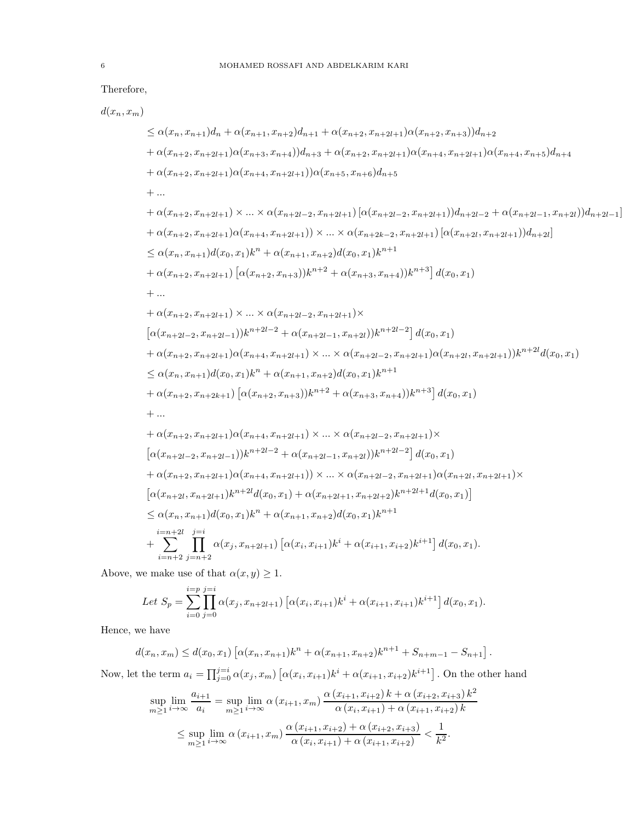## Therefore,

$$
\begin{split} &d(x_n,x_m)\\ &\leq \alpha(x_n,x_{n+1})d_n+\alpha(x_{n+1},x_{n+2})d_{n+1}+\alpha(x_{n+2},x_{n+2l+1})\alpha(x_{n+2},x_{n+3}))d_{n+2}\\ &+\alpha(x_{n+2},x_{n+2l+1})\alpha(x_{n+3},x_{n+4}))d_{n+3}+\alpha(x_{n+2},x_{n+2l+1})\alpha(x_{n+4},x_{n+2l+1})\alpha(x_{n+4},x_{n+5})d_{n+4}\\ &+\alpha(x_{n+2},x_{n+2l+1})\alpha(x_{n+4},x_{n+2l+1}))\alpha(x_{n+5},x_{n+6})d_{n+5}\\ &+\dots\\ &+\alpha(x_{n+2},x_{n+2l+1})\times\ldots\times\alpha(x_{n+2l-2},x_{n+2l+1})[\alpha(x_{n+2l-2},x_{n+2l+1})]d_{n+2l-2}+\alpha(x_{n+2l-1},x_{n+2l})]d_{n+2l-1}]\\ &+\alpha(x_{n+2},x_{n+2l+1})\alpha(x_{n+4},x_{n+2l+1})\times\ldots\times\alpha(x_{n+2k-2},x_{n+2l+1})[\alpha(x_{n+2l},x_{n+2l+1})]d_{n+2l}]\\ &\leq \alpha(x_n,x_{n+1})d(x_0,x_1)k^n+\alpha(x_{n+1},x_{n+2})d(x_0,x_1)k^{n+1}\\ &+\alpha(x_{n+2},x_{n+2l+1})\left[\alpha(x_{n+2},x_{n+3})k^{n+2}+\alpha(x_{n+3},x_{n+4})\right)k^{n+3}\right]d(x_0,x_1)\\ &+\dots\\ &+\alpha(x_{n+2},x_{n+2l+1})\times\ldots\times\alpha(x_{n+2l-2},x_{n+2l+1})\times\\ &\left[\alpha(x_{n+2l-2},x_{n+2l+1})\alpha(x_{n+4},x_{n+2l+1})\times\ldots\times\alpha(x_{n+2l-2},x_{n+2l+1})\alpha(x_{n+2l},x_{n+2l+1})\right)k^{n+2l}d(x_0,x_1)\\ &+\alpha(x_{n+2},x_{n+2l+1})\alpha(x_{n+4},x_{n+2l+1})\times\ldots\times\alpha(x_{n+
$$

Above, we make use of that  $\alpha(x, y) \geq 1$ .

Let 
$$
S_p = \sum_{i=0}^{i=p} \prod_{j=0}^{j=i} \alpha(x_j, x_{n+2l+1}) \left[ \alpha(x_i, x_{i+1})k^i + \alpha(x_{i+1}, x_{i+1})k^{i+1} \right] d(x_0, x_1).
$$

Hence, we have

$$
d(x_n, x_m) \le d(x_0, x_1) \left[ \alpha(x_n, x_{n+1})k^n + \alpha(x_{n+1}, x_{n+2})k^{n+1} + S_{n+m-1} - S_{n+1} \right].
$$

Now, let the term  $a_i = \prod_{j=0}^{j=i} \alpha(x_j, x_m) \left[ \alpha(x_i, x_{i+1})k^i + \alpha(x_{i+1}, x_{i+2})k^{i+1} \right]$ . On the other hand

$$
\sup_{m\geq 1} \lim_{i\to\infty} \frac{a_{i+1}}{a_i} = \sup_{m\geq 1} \lim_{i\to\infty} \alpha(x_{i+1}, x_m) \frac{\alpha(x_{i+1}, x_{i+2}) k + \alpha(x_{i+2}, x_{i+3}) k^2}{\alpha(x_i, x_{i+1}) + \alpha(x_{i+1}, x_{i+2}) k}
$$
  

$$
\leq \sup_{m\geq 1} \lim_{i\to\infty} \alpha(x_{i+1}, x_m) \frac{\alpha(x_{i+1}, x_{i+2}) + \alpha(x_{i+2}, x_{i+3})}{\alpha(x_i, x_{i+1}) + \alpha(x_{i+1}, x_{i+2})} < \frac{1}{k^2}.
$$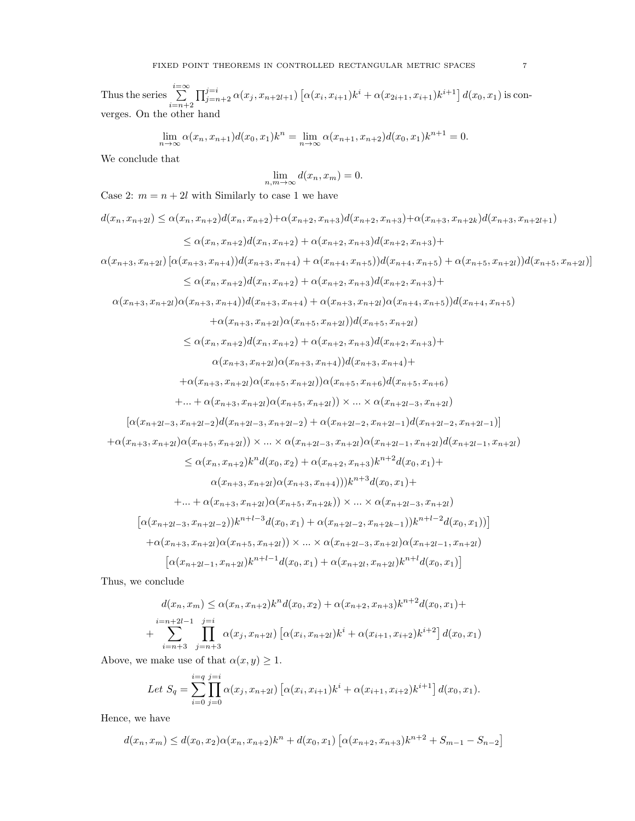Thus the series  $\sum_{i=n+2}^{i=\infty} \prod_{j=n+2}^{j=i} \alpha(x_j, x_{n+2l+1}) \left[ \alpha(x_i, x_{i+1})k^i + \alpha(x_{2i+1}, x_{i+1})k^{i+1} \right] d(x_0, x_1)$  is converges. On the other hand

$$
\lim_{n \to \infty} \alpha(x_n, x_{n+1}) d(x_0, x_1) k^n = \lim_{n \to \infty} \alpha(x_{n+1}, x_{n+2}) d(x_0, x_1) k^{n+1} = 0.
$$

We conclude that

$$
\lim_{n,m \to \infty} d(x_n, x_m) = 0.
$$

Case 2:  $m = n + 2l$  with Similarly to case 1 we have

$$
d(x_{n}, x_{n+2}) \leq \alpha(x_{n}, x_{n+2}) + \alpha(x_{n+2}, x_{n+3}) + \alpha(x_{n+2}, x_{n+3}) + \alpha(x_{n+3}, x_{n+2k}) + d(x_{n+3}, x_{n+2k})
$$
  
\n
$$
\leq \alpha(x_{n}, x_{n+2})d(x_{n}, x_{n+2}) + \alpha(x_{n+2}, x_{n+3})d(x_{n+2}, x_{n+3}) +
$$
  
\n
$$
\alpha(x_{n+3}, x_{n+21}) [\alpha(x_{n+3}, x_{n+4}))d(x_{n+3}, x_{n+4}) + \alpha(x_{n+4}, x_{n+5})]d(x_{n+4}, x_{n+5}) + \alpha(x_{n+5}, x_{n+2l})]d(x_{n+5}, x_{n+2l})]
$$
  
\n
$$
\leq \alpha(x_{n}, x_{n+2})d(x_{n}, x_{n+2}) + \alpha(x_{n+2}, x_{n+3})d(x_{n+4}, x_{n+5}) + \alpha(x_{n+5}, x_{n+2l})d(x_{n+5}, x_{n+2l})
$$
  
\n
$$
+ \alpha(x_{n+3}, x_{n+2l})\alpha(x_{n+3}, x_{n+4}) + \alpha(x_{n+3}, x_{n+2l})\alpha(x_{n+4}, x_{n+5})d(x_{n+4}, x_{n+5})
$$
  
\n
$$
+ \alpha(x_{n+3}, x_{n+2l})\alpha(x_{n+5}, x_{n+2l})d(x_{n+5}, x_{n+2l})
$$
  
\n
$$
\leq \alpha(x_{n}, x_{n+2})d(x_{n}, x_{n+2}) + \alpha(x_{n+2}, x_{n+3})d(x_{n+2}, x_{n+3}) +
$$
  
\n
$$
\alpha(x_{n+3}, x_{n+2l})\alpha(x_{n+5}, x_{n+2l})\alpha(x_{n+5}, x_{n+4l})
$$
  
\n
$$
+ \alpha(x_{n+3}, x_{n+2l})\alpha(x_{n+5}, x_{n+2l})\alpha(x_{n+5}, x_{n+4l})
$$
  
\n
$$
+ \alpha(x_{n+3}, x_{n+2l})\alpha(x_{n+5}, x_{n+2l})\alpha(x_{n+5}, x_{n+4l})
$$
  
\n
$$
+ \alpha(x_{n
$$

Thus, we conclude

$$
d(x_n, x_m) \leq \alpha(x_n, x_{n+2})k^n d(x_0, x_2) + \alpha(x_{n+2}, x_{n+3})k^{n+2} d(x_0, x_1) +
$$
  
+ 
$$
\sum_{i=n+3}^{i=n+2l-1} \prod_{j=n+3}^{j=i} \alpha(x_j, x_{n+2l}) [\alpha(x_i, x_{n+2l})k^i + \alpha(x_{i+1}, x_{i+2})k^{i+2}] d(x_0, x_1)
$$

Above, we make use of that  $\alpha(x, y) \geq 1$ .

Let 
$$
S_q = \sum_{i=0}^{i=q} \prod_{j=0}^{j=i} \alpha(x_j, x_{n+2l}) \left[ \alpha(x_i, x_{i+1})k^i + \alpha(x_{i+1}, x_{i+2})k^{i+1} \right] d(x_0, x_1).
$$

Hence, we have

$$
d(x_n, x_m) \le d(x_0, x_2) \alpha(x_n, x_{n+2}) k^n + d(x_0, x_1) \left[ \alpha(x_{n+2}, x_{n+3}) k^{n+2} + S_{m-1} - S_{n-2} \right]
$$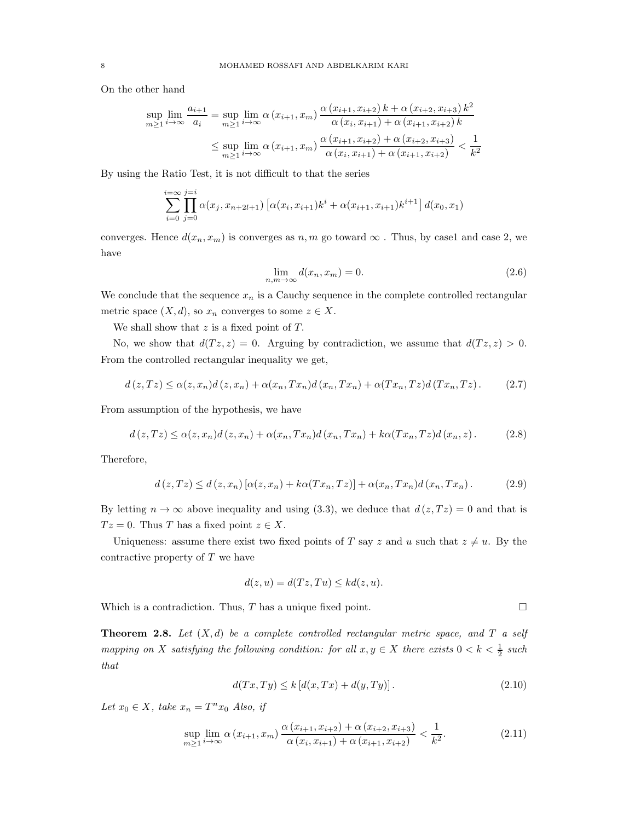On the other hand

$$
\sup_{m\geq 1} \lim_{i\to\infty} \frac{a_{i+1}}{a_i} = \sup_{m\geq 1} \lim_{i\to\infty} \alpha(x_{i+1}, x_m) \frac{\alpha(x_{i+1}, x_{i+2}) k + \alpha(x_{i+2}, x_{i+3}) k^2}{\alpha(x_i, x_{i+1}) + \alpha(x_{i+1}, x_{i+2}) k}
$$
  

$$
\leq \sup_{m\geq 1} \lim_{i\to\infty} \alpha(x_{i+1}, x_m) \frac{\alpha(x_{i+1}, x_{i+2}) + \alpha(x_{i+2}, x_{i+3})}{\alpha(x_i, x_{i+1}) + \alpha(x_{i+1}, x_{i+2})} < \frac{1}{k^2}
$$

By using the Ratio Test, it is not difficult to that the series

$$
\sum_{i=0}^{i=\infty} \prod_{j=0}^{j=i} \alpha(x_j, x_{n+2l+1}) \left[ \alpha(x_i, x_{i+1})k^i + \alpha(x_{i+1}, x_{i+1})k^{i+1} \right] d(x_0, x_1)
$$

converges. Hence  $d(x_n, x_m)$  is converges as  $n, m$  go toward  $\infty$ . Thus, by case1 and case 2, we have

$$
\lim_{n,m \to \infty} d(x_n, x_m) = 0. \tag{2.6}
$$

We conclude that the sequence  $x_n$  is a Cauchy sequence in the complete controlled rectangular metric space  $(X, d)$ , so  $x_n$  converges to some  $z \in X$ .

We shall show that  $z$  is a fixed point of  $T$ .

No, we show that  $d(Tz, z) = 0$ . Arguing by contradiction, we assume that  $d(Tz, z) > 0$ . From the controlled rectangular inequality we get,

$$
d(z,Tz) \leq \alpha(z,x_n)d(z,x_n) + \alpha(x_n,Tx_n)d(x_n,Tx_n) + \alpha(Tx_n,Tz)d(Tx_n,Tz).
$$
 (2.7)

From assumption of the hypothesis, we have

$$
d(z,Tz) \leq \alpha(z,x_n)d(z,x_n) + \alpha(x_n,Tx_n)d(x_n,Tx_n) + k\alpha(Tx_n,Tz)d(x_n,z).
$$
 (2.8)

Therefore,

$$
d(z,Tz) \le d(z,x_n) \left[ \alpha(z,x_n) + k\alpha(Tx_n,Tz) \right] + \alpha(x_n,Tx_n) d(x_n,Tx_n). \tag{2.9}
$$

By letting  $n \to \infty$  above inequality and using (3.3), we deduce that  $d(z, Tz) = 0$  and that is  $Tz = 0$ . Thus T has a fixed point  $z \in X$ .

Uniqueness: assume there exist two fixed points of T say z and u such that  $z \neq u$ . By the contractive property of  $T$  we have

$$
d(z, u) = d(Tz, Tu) \leq kd(z, u).
$$

Which is a contradiction. Thus, T has a unique fixed point.

Theorem 2.8. *Let* (X, d) *be a complete controlled rectangular metric space, and* T *a self mapping on* X *satisfying the following condition: for all*  $x, y \in X$  *there exists*  $0 < k < \frac{1}{2}$  *such that*

$$
d(Tx, Ty) \le k \left[ d(x, Tx) + d(y, Ty) \right]. \tag{2.10}
$$

Let  $x_0 \in X$ , take  $x_n = T^n x_0$  *Also, if* 

$$
\sup_{m\geq 1} \lim_{i\to\infty} \alpha(x_{i+1}, x_m) \frac{\alpha(x_{i+1}, x_{i+2}) + \alpha(x_{i+2}, x_{i+3})}{\alpha(x_i, x_{i+1}) + \alpha(x_{i+1}, x_{i+2})} < \frac{1}{k^2}.\tag{2.11}
$$

$$
\sqcup
$$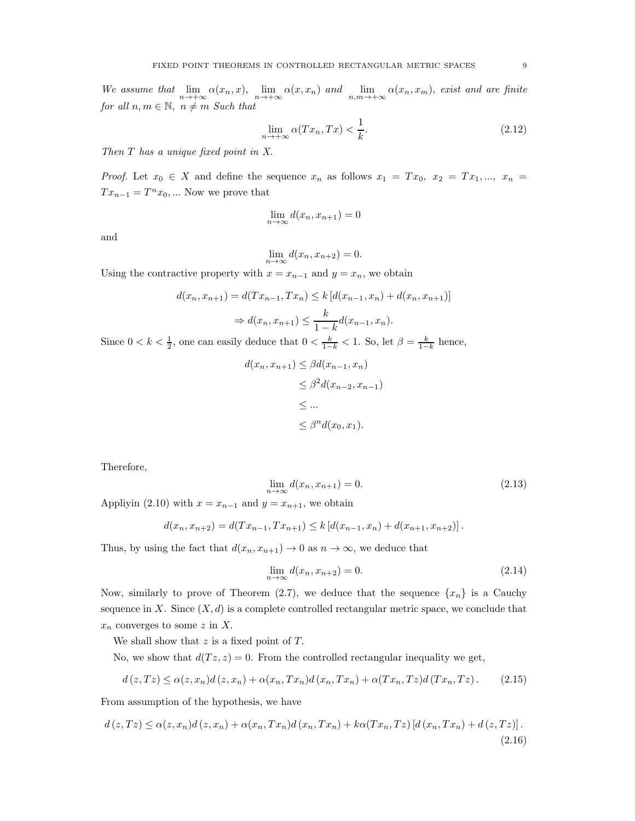We assume that  $\lim_{n\to+\infty} \alpha(x_n, x)$ ,  $\lim_{n\to+\infty} \alpha(x, x_n)$  and  $\lim_{n,m\to+\infty} \alpha(x_n, x_m)$ , exist and are finite *for all*  $n, m \in \mathbb{N}, n \neq m$  *Such that* 

$$
\lim_{n \to +\infty} \alpha(Tx_n, Tx) < \frac{1}{k}.\tag{2.12}
$$

*Then* T *has a unique fixed point in X.*

*Proof.* Let  $x_0 \in X$  and define the sequence  $x_n$  as follows  $x_1 = Tx_0$ ,  $x_2 = Tx_1, ..., x_n =$  $Tx_{n-1} = T^n x_0, \dots$  Now we prove that

$$
\lim_{n \to \infty} d(x_n, x_{n+1}) = 0
$$

and

$$
\lim_{n \to \infty} d(x_n, x_{n+2}) = 0.
$$

Using the contractive property with  $x = x_{n-1}$  and  $y = x_n$ , we obtain

$$
d(x_n, x_{n+1}) = d(Tx_{n-1}, Tx_n) \le k [d(x_{n-1}, x_n) + d(x_n, x_{n+1})]
$$
  

$$
\Rightarrow d(x_n, x_{n+1}) \le \frac{k}{1-k} d(x_{n-1}, x_n).
$$

Since  $0 < k < \frac{1}{2}$ , one can easily deduce that  $0 < \frac{k}{1-k} < 1$ . So, let  $\beta = \frac{k}{1-k}$  hence,

$$
d(x_n, x_{n+1}) \leq \beta d(x_{n-1}, x_n)
$$
  
\n
$$
\leq \beta^2 d(x_{n-2}, x_{n-1})
$$
  
\n
$$
\leq ...
$$
  
\n
$$
\leq \beta^n d(x_0, x_1).
$$

Therefore,

$$
\lim_{n \to \infty} d(x_n, x_{n+1}) = 0. \tag{2.13}
$$

Appliyin (2.10) with  $x = x_{n-1}$  and  $y = x_{n+1}$ , we obtain

$$
d(x_n, x_{n+2}) = d(Tx_{n-1}, Tx_{n+1}) \le k [d(x_{n-1}, x_n) + d(x_{n+1}, x_{n+2})].
$$

Thus, by using the fact that  $d(x_n, x_{n+1}) \to 0$  as  $n \to \infty$ , we deduce that

$$
\lim_{n \to \infty} d(x_n, x_{n+2}) = 0. \tag{2.14}
$$

Now, similarly to prove of Theorem (2.7), we deduce that the sequence  $\{x_n\}$  is a Cauchy sequence in X. Since  $(X, d)$  is a complete controlled rectangular metric space, we conclude that  $x_n$  converges to some z in X.

We shall show that  $z$  is a fixed point of  $T$ .

No, we show that  $d(Tz, z) = 0$ . From the controlled rectangular inequality we get,

$$
d(z,Tz) \leq \alpha(z,x_n)d(z,x_n) + \alpha(x_n,Tx_n)d(x_n,Tx_n) + \alpha(Tx_n,Tz)d(Tx_n,Tz).
$$
 (2.15)

From assumption of the hypothesis, we have

$$
d(z,Tz) \leq \alpha(z,x_n)d(z,x_n) + \alpha(x_n,Tx_n)d(x_n,Tx_n) + k\alpha(Tx_n,Tz)[d(x_n,Tx_n) + d(z,Tz)].
$$
\n(2.16)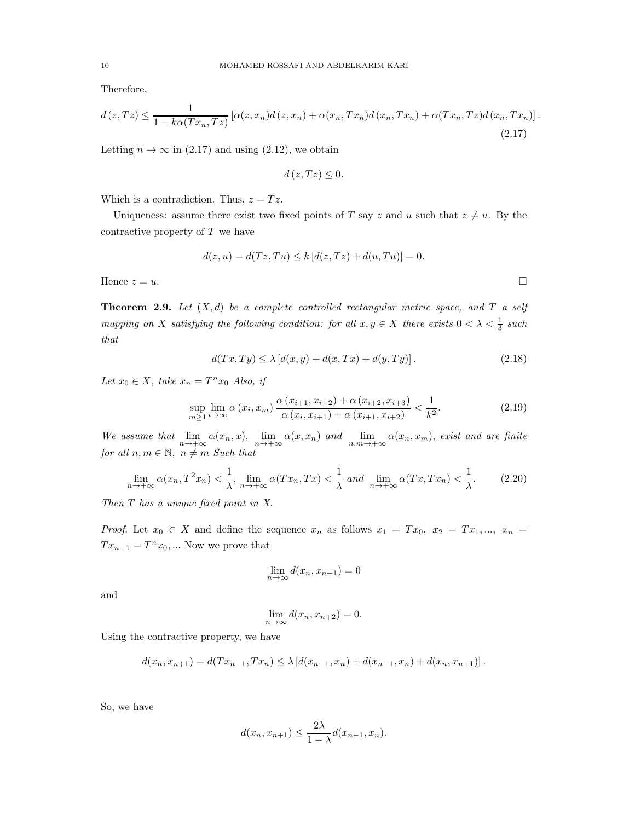Therefore,

$$
d(z,Tz) \leq \frac{1}{1 - k\alpha(Tx_n,Tz)} \left[ \alpha(z,x_n) d(z,x_n) + \alpha(x_n,Tx_n) d(x_n,Tx_n) + \alpha(Tx_n,Tz) d(x_n,Tx_n) \right].
$$
\n(2.17)

Letting  $n \to \infty$  in (2.17) and using (2.12), we obtain

$$
d(z,Tz)\leq 0.
$$

Which is a contradiction. Thus,  $z = Tz$ .

Uniqueness: assume there exist two fixed points of T say z and u such that  $z \neq u$ . By the contractive property of  $T$  we have

$$
d(z, u) = d(Tz, Tu) \le k [d(z, Tz) + d(u, Tu)] = 0.
$$

Hence  $z = u$ .

Theorem 2.9. *Let* (X, d) *be a complete controlled rectangular metric space, and* T *a self mapping on* X *satisfying the following condition: for all*  $x, y \in X$  *there exists*  $0 < \lambda < \frac{1}{3}$  *such that*

$$
d(Tx,Ty) \le \lambda \left[ d(x,y) + d(x,Tx) + d(y,Ty) \right]. \tag{2.18}
$$

Let  $x_0 \in X$ , take  $x_n = T^n x_0$  *Also, if* 

$$
\sup_{m\geq 1} \lim_{i\to\infty} \alpha(x_i, x_m) \frac{\alpha(x_{i+1}, x_{i+2}) + \alpha(x_{i+2}, x_{i+3})}{\alpha(x_i, x_{i+1}) + \alpha(x_{i+1}, x_{i+2})} < \frac{1}{k^2}.\tag{2.19}
$$

We assume that  $\lim_{n\to+\infty} \alpha(x_n, x)$ ,  $\lim_{n\to+\infty} \alpha(x, x_n)$  and  $\lim_{n,m\to+\infty} \alpha(x_n, x_m)$ , *exist and are finite for all*  $n, m \in \mathbb{N}, n \neq m$  *Such that* 

$$
\lim_{n \to +\infty} \alpha(x_n, T^2 x_n) < \frac{1}{\lambda}, \lim_{n \to +\infty} \alpha(T x_n, T x) < \frac{1}{\lambda} \text{ and } \lim_{n \to +\infty} \alpha(T x, T x_n) < \frac{1}{\lambda}.\tag{2.20}
$$

*Then* T *has a unique fixed point in X.*

*Proof.* Let  $x_0 \in X$  and define the sequence  $x_n$  as follows  $x_1 = Tx_0$ ,  $x_2 = Tx_1$ , ...,  $x_n =$  $Tx_{n-1} = T^n x_0, \dots$  Now we prove that

$$
\lim_{n \to \infty} d(x_n, x_{n+1}) = 0
$$

and

$$
\lim_{n \to \infty} d(x_n, x_{n+2}) = 0.
$$

Using the contractive property, we have

$$
d(x_n, x_{n+1}) = d(Tx_{n-1}, Tx_n) \leq \lambda \left[ d(x_{n-1}, x_n) + d(x_{n-1}, x_n) + d(x_n, x_{n+1}) \right].
$$

So, we have

$$
d(x_n, x_{n+1}) \le \frac{2\lambda}{1-\lambda} d(x_{n-1}, x_n).
$$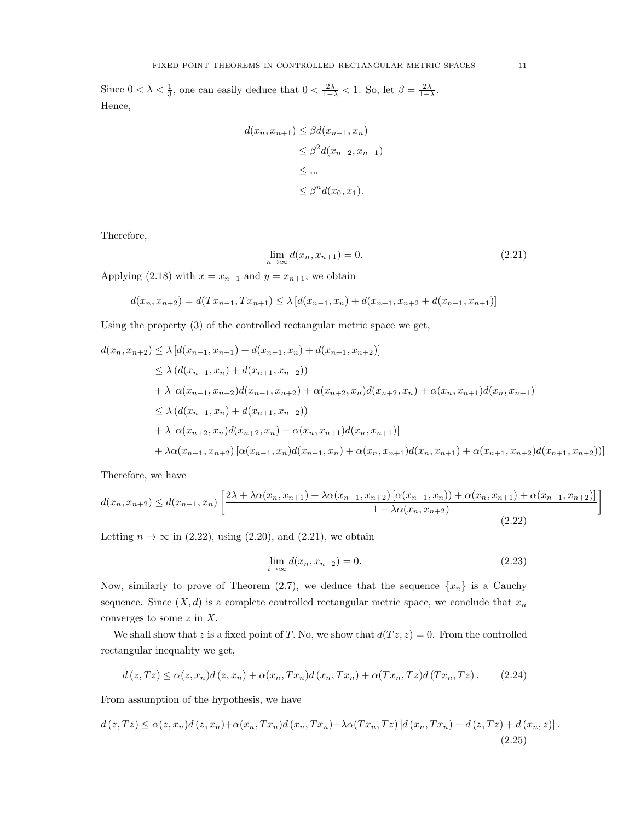Since  $0 < \lambda < \frac{1}{3}$ , one can easily deduce that  $0 < \frac{2\lambda}{1-\lambda} < 1$ . So, let  $\beta = \frac{2\lambda}{1-\lambda}$ . Hence,

$$
d(x_n, x_{n+1}) \leq \beta d(x_{n-1}, x_n)
$$
  
\n
$$
\leq \beta^2 d(x_{n-2}, x_{n-1})
$$
  
\n
$$
\leq \dots
$$
  
\n
$$
\leq \beta^n d(x_0, x_1).
$$

Therefore,

$$
\lim_{n \to \infty} d(x_n, x_{n+1}) = 0.
$$
\n(2.21)

Applying (2.18) with  $x = x_{n-1}$  and  $y = x_{n+1}$ , we obtain

$$
d(x_n, x_{n+2}) = d(Tx_{n-1}, Tx_{n+1}) \le \lambda \left[ d(x_{n-1}, x_n) + d(x_{n+1}, x_{n+2} + d(x_{n-1}, x_{n+1})) \right]
$$

Using the property (3) of the controlled rectangular metric space we get,

$$
d(x_n, x_{n+2}) \leq \lambda [d(x_{n-1}, x_{n+1}) + d(x_{n-1}, x_n) + d(x_{n+1}, x_{n+2})]
$$
  
\n
$$
\leq \lambda (d(x_{n-1}, x_n) + d(x_{n+1}, x_{n+2}))
$$
  
\n
$$
+ \lambda [\alpha(x_{n-1}, x_{n+2})d(x_{n-1}, x_{n+2}) + \alpha(x_{n+2}, x_n)d(x_{n+2}, x_n) + \alpha(x_n, x_{n+1})d(x_n, x_{n+1})]
$$
  
\n
$$
\leq \lambda (d(x_{n-1}, x_n) + d(x_{n+1}, x_{n+2}))
$$
  
\n
$$
+ \lambda [\alpha(x_{n+2}, x_n)d(x_{n+2}, x_n) + \alpha(x_n, x_{n+1})d(x_n, x_{n+1})]
$$
  
\n
$$
+ \lambda \alpha(x_{n-1}, x_{n+2}) [\alpha(x_{n-1}, x_n)d(x_{n-1}, x_n) + \alpha(x_n, x_{n+1})d(x_n, x_{n+1}) + \alpha(x_{n+1}, x_{n+2})d(x_{n+1}, x_{n+2})]]
$$

Therefore, we have

$$
d(x_n, x_{n+2}) \le d(x_{n-1}, x_n) \left[ \frac{2\lambda + \lambda \alpha(x_n, x_{n+1}) + \lambda \alpha(x_{n-1}, x_{n+2}) \left[ \alpha(x_{n-1}, x_n) \right] + \alpha(x_n, x_{n+1}) + \alpha(x_{n+1}, x_{n+2}) \right]}{1 - \lambda \alpha(x_n, x_{n+2})} \right]
$$
\n(2.22)

Letting  $n \to \infty$  in (2.22), using (2.20), and (2.21), we obtain

$$
\lim_{i \to \infty} d(x_n, x_{n+2}) = 0. \tag{2.23}
$$

Now, similarly to prove of Theorem (2.7), we deduce that the sequence  $\{x_n\}$  is a Cauchy sequence. Since  $(X, d)$  is a complete controlled rectangular metric space, we conclude that  $x_n$ converges to some  $z$  in  $X$ .

We shall show that z is a fixed point of T. No, we show that  $d(Tz, z) = 0$ . From the controlled rectangular inequality we get,

$$
d(z,Tz) \leq \alpha(z,x_n)d(z,x_n) + \alpha(x_n,Tx_n)d(x_n,Tx_n) + \alpha(Tx_n,Tz)d(Tx_n,Tz).
$$
 (2.24)

From assumption of the hypothesis, we have

$$
d(z,Tz) \leq \alpha(z,x_n)d(z,x_n) + \alpha(x_n,Tx_n)d(x_n,Tx_n) + \lambda\alpha(Tx_n,Tz)[d(x_n,Tx_n) + d(z,Tz) + d(x_n,z)].
$$
\n(2.25)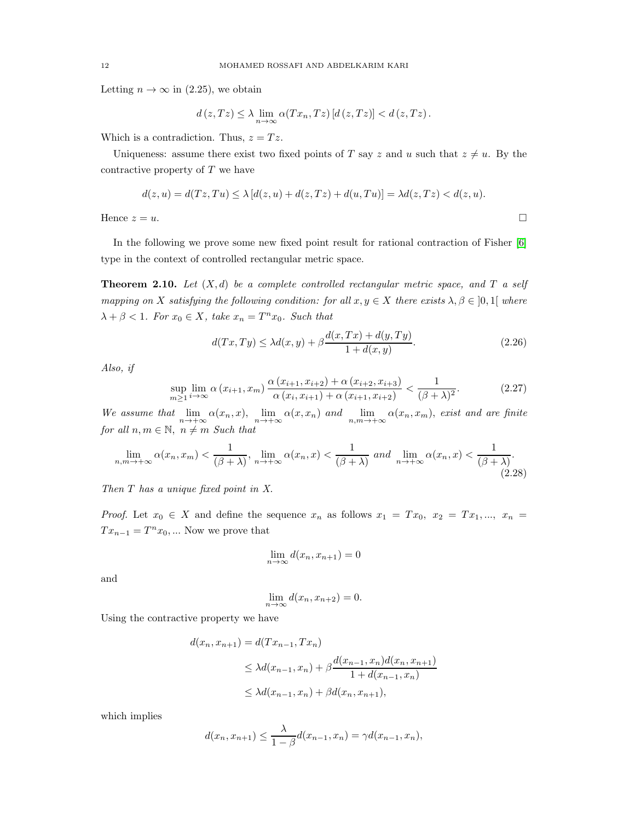Letting  $n \to \infty$  in (2.25), we obtain

$$
d(z,Tz) \leq \lambda \lim_{n \to \infty} \alpha(Tx_n,Tz) \left[ d(z,Tz) \right] < d(z,Tz).
$$

Which is a contradiction. Thus,  $z = Tz$ .

Uniqueness: assume there exist two fixed points of T say z and u such that  $z \neq u$ . By the contractive property of  $T$  we have

$$
d(z, u) = d(Tz, Tu) \le \lambda [d(z, u) + d(z, Tz) + d(u, Tu)] = \lambda d(z, Tz) < d(z, u).
$$
\nHence  $z = u$ .

\n
$$
\Box
$$

In the following we prove some new fixed point result for rational contraction of Fisher [\[6\]](#page-15-16) type in the context of controlled rectangular metric space.

Theorem 2.10. *Let* (X, d) *be a complete controlled rectangular metric space, and* T *a self mapping on* X *satisfying the following condition: for all*  $x, y \in X$  *there exists*  $\lambda, \beta \in [0, 1]$  *where*  $\lambda + \beta < 1$ *. For*  $x_0 \in X$ *, take*  $x_n = T^n x_0$ *. Such that* 

$$
d(Tx,Ty) \le \lambda d(x,y) + \beta \frac{d(x,Tx) + d(y,Ty)}{1 + d(x,y)}.
$$
\n(2.26)

*Also, if*

$$
\sup_{m\geq 1} \lim_{i\to\infty} \alpha(x_{i+1}, x_m) \frac{\alpha(x_{i+1}, x_{i+2}) + \alpha(x_{i+2}, x_{i+3})}{\alpha(x_i, x_{i+1}) + \alpha(x_{i+1}, x_{i+2})} < \frac{1}{(\beta + \lambda)^2}.\tag{2.27}
$$

We assume that  $\lim_{n\to+\infty} \alpha(x_n, x)$ ,  $\lim_{n\to+\infty} \alpha(x, x_n)$  and  $\lim_{n,m\to+\infty} \alpha(x_n, x_m)$ , exist and are finite *for all*  $n, m \in \mathbb{N}, n \neq m$  *Such that* 

$$
\lim_{n,m \to +\infty} \alpha(x_n, x_m) < \frac{1}{(\beta + \lambda)}, \lim_{n \to +\infty} \alpha(x_n, x) < \frac{1}{(\beta + \lambda)} \text{ and } \lim_{n \to +\infty} \alpha(x_n, x) < \frac{1}{(\beta + \lambda)}. \tag{2.28}
$$

*Then* T *has a unique fixed point in X.*

*Proof.* Let  $x_0 \in X$  and define the sequence  $x_n$  as follows  $x_1 = Tx_0$ ,  $x_2 = Tx_1, ..., x_n =$  $Tx_{n-1} = T^n x_0, \dots$  Now we prove that

$$
\lim_{n \to \infty} d(x_n, x_{n+1}) = 0
$$

and

$$
\lim_{n \to \infty} d(x_n, x_{n+2}) = 0.
$$

Using the contractive property we have

$$
d(x_n, x_{n+1}) = d(Tx_{n-1}, Tx_n)
$$
  
\n
$$
\leq \lambda d(x_{n-1}, x_n) + \beta \frac{d(x_{n-1}, x_n) d(x_n, x_{n+1})}{1 + d(x_{n-1}, x_n)}
$$
  
\n
$$
\leq \lambda d(x_{n-1}, x_n) + \beta d(x_n, x_{n+1}),
$$

which implies

$$
d(x_n, x_{n+1}) \le \frac{\lambda}{1-\beta} d(x_{n-1}, x_n) = \gamma d(x_{n-1}, x_n),
$$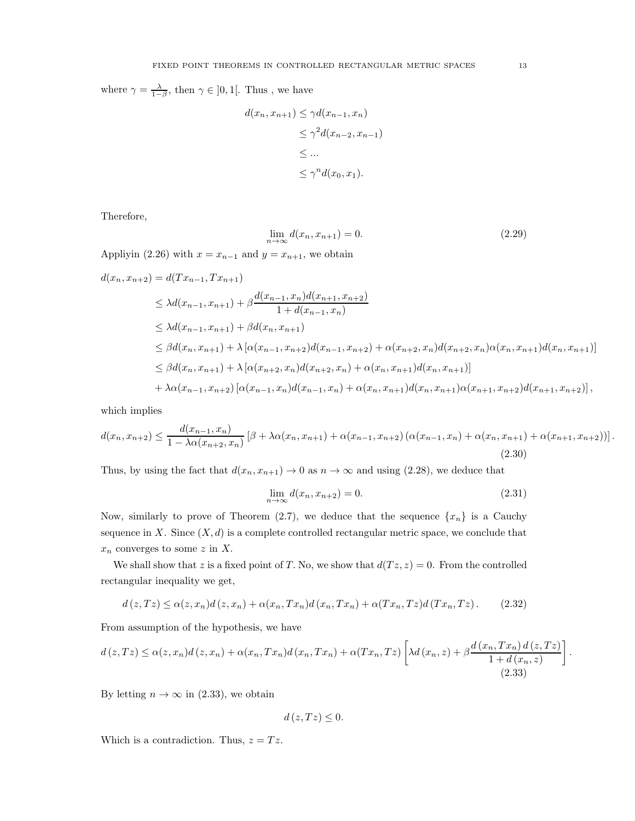where  $\gamma = \frac{\lambda}{1-\beta}$ , then  $\gamma \in ]0,1[$ . Thus, we have

$$
d(x_n, x_{n+1}) \leq \gamma d(x_{n-1}, x_n)
$$
  
\n
$$
\leq \gamma^2 d(x_{n-2}, x_{n-1})
$$
  
\n
$$
\leq \dots
$$
  
\n
$$
\leq \gamma^n d(x_0, x_1).
$$

Therefore,

$$
\lim_{n \to \infty} d(x_n, x_{n+1}) = 0. \tag{2.29}
$$

Appliyin (2.26) with  $x = x_{n-1}$  and  $y = x_{n+1}$ , we obtain

$$
d(x_n, x_{n+2}) = d(Tx_{n-1}, Tx_{n+1})
$$
  
\n
$$
\leq \lambda d(x_{n-1}, x_{n+1}) + \beta \frac{d(x_{n-1}, x_n) d(x_{n+1}, x_{n+2})}{1 + d(x_{n-1}, x_n)}
$$
  
\n
$$
\leq \lambda d(x_{n-1}, x_{n+1}) + \beta d(x_n, x_{n+1})
$$
  
\n
$$
\leq \beta d(x_n, x_{n+1}) + \lambda [\alpha(x_{n-1}, x_{n+2}) d(x_{n-1}, x_{n+2}) + \alpha(x_{n+2}, x_n) d(x_{n+2}, x_n) \alpha(x_n, x_{n+1}) d(x_n, x_{n+1})]
$$
  
\n
$$
\leq \beta d(x_n, x_{n+1}) + \lambda [\alpha(x_{n+2}, x_n) d(x_{n+2}, x_n) + \alpha(x_n, x_{n+1}) d(x_n, x_{n+1})]
$$
  
\n
$$
+ \lambda \alpha(x_{n-1}, x_{n+2}) [\alpha(x_{n-1}, x_n) d(x_{n-1}, x_n) + \alpha(x_n, x_{n+1}) d(x_n, x_{n+1}) \alpha(x_{n+1}, x_{n+2}) d(x_{n+1}, x_{n+2})],
$$

which implies

$$
d(x_n, x_{n+2}) \le \frac{d(x_{n-1}, x_n)}{1 - \lambda \alpha(x_{n+2}, x_n)} \left[ \beta + \lambda \alpha(x_n, x_{n+1}) + \alpha(x_{n-1}, x_{n+2}) \left( \alpha(x_{n-1}, x_n) + \alpha(x_n, x_{n+1}) + \alpha(x_{n+1}, x_{n+2}) \right) \right].
$$
\n(2.30)

Thus, by using the fact that  $d(x_n, x_{n+1}) \to 0$  as  $n \to \infty$  and using (2.28), we deduce that

$$
\lim_{n \to \infty} d(x_n, x_{n+2}) = 0. \tag{2.31}
$$

Now, similarly to prove of Theorem (2.7), we deduce that the sequence  $\{x_n\}$  is a Cauchy sequence in X. Since  $(X, d)$  is a complete controlled rectangular metric space, we conclude that  $x_n$  converges to some z in X.

We shall show that z is a fixed point of T. No, we show that  $d(Tz, z) = 0$ . From the controlled rectangular inequality we get,

$$
d(z,Tz) \leq \alpha(z,x_n)d(z,x_n) + \alpha(x_n,Tx_n)d(x_n,Tx_n) + \alpha(Tx_n,Tz)d(Tx_n,Tz).
$$
 (2.32)

From assumption of the hypothesis, we have

$$
d(z,Tz) \leq \alpha(z,x_n)d(z,x_n) + \alpha(x_n,Tx_n)d(x_n,Tx_n) + \alpha(Tx_n,Tz)\left[\lambda d(x_n,z) + \beta \frac{d(x_n,Tx_n)d(z,Tz)}{1+d(x_n,z)}\right]
$$
\n(2.33)

By letting  $n \to \infty$  in (2.33), we obtain

$$
d(z,Tz)\leq 0.
$$

Which is a contradiction. Thus,  $z = Tz$ .

.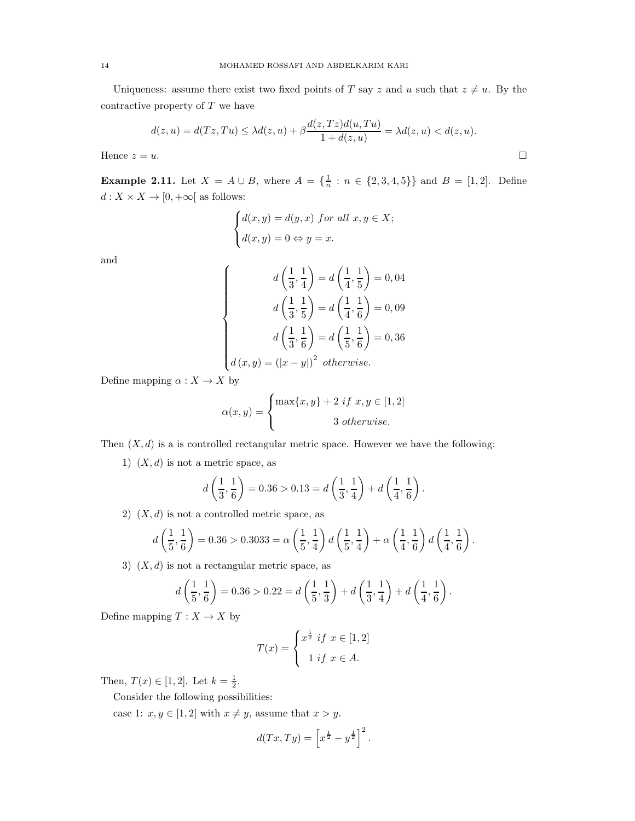Uniqueness: assume there exist two fixed points of T say z and u such that  $z \neq u$ . By the contractive property of  $T$  we have

$$
d(z, u) = d(Tz, Tu) \le \lambda d(z, u) + \beta \frac{d(z, Tz)d(u, Tu)}{1 + d(z, u)} = \lambda d(z, u) < d(z, u).
$$
\nHence  $z = u$ .

\n
$$
\Box
$$

**Example 2.11.** Let  $X = A \cup B$ , where  $A = \{\frac{1}{n}\}$  $\frac{1}{n}$  :  $n \in \{2, 3, 4, 5\}$  and  $B = [1, 2]$ . Define  $d: X \times X \rightarrow [0, +\infty[$  as follows:

$$
\begin{cases} d(x,y) = d(y,x) \text{ for all } x, y \in X; \\ d(x,y) = 0 \Leftrightarrow y = x. \end{cases}
$$

and

$$
d\left(\frac{1}{3}, \frac{1}{4}\right) = d\left(\frac{1}{4}, \frac{1}{5}\right) = 0,04
$$

$$
d\left(\frac{1}{3}, \frac{1}{5}\right) = d\left(\frac{1}{4}, \frac{1}{6}\right) = 0,09
$$

$$
d\left(\frac{1}{3}, \frac{1}{6}\right) = d\left(\frac{1}{5}, \frac{1}{6}\right) = 0,36
$$

$$
d(x,y) = (|x-y|)^2 \text{ otherwise.}
$$

Define mapping  $\alpha: X \to X$  by

$$
\alpha(x,y) = \begin{cases} \max\{x,y\} + 2 \text{ if } x, y \in [1,2] \\ 3 \text{ otherwise.} \end{cases}
$$

Then  $(X, d)$  is a is controlled rectangular metric space. However we have the following:

1)  $(X, d)$  is not a metric space, as

$$
d\left(\frac{1}{3},\frac{1}{6}\right) = 0.36 > 0.13 = d\left(\frac{1}{3},\frac{1}{4}\right) + d\left(\frac{1}{4},\frac{1}{6}\right).
$$

2)  $(X, d)$  is not a controlled metric space, as

$$
d\left(\frac{1}{5},\frac{1}{6}\right) = 0.36 > 0.3033 = \alpha \left(\frac{1}{5},\frac{1}{4}\right) d\left(\frac{1}{5},\frac{1}{4}\right) + \alpha \left(\frac{1}{4},\frac{1}{6}\right) d\left(\frac{1}{4},\frac{1}{6}\right).
$$

3)  $(X, d)$  is not a rectangular metric space, as

$$
d\left(\frac{1}{5},\frac{1}{6}\right) = 0.36 > 0.22 = d\left(\frac{1}{5},\frac{1}{3}\right) + d\left(\frac{1}{3},\frac{1}{4}\right) + d\left(\frac{1}{4},\frac{1}{6}\right).
$$

Define mapping  $T: X \to X$  by

$$
T(x) = \begin{cases} x^{\frac{1}{2}} & \text{if } x \in [1,2] \\ 1 & \text{if } x \in A. \end{cases}
$$

Then,  $T(x) \in [1, 2]$ . Let  $k = \frac{1}{2}$ .

Consider the following possibilities:

case 1:  $x, y \in [1, 2]$  with  $x \neq y$ , assume that  $x > y$ .

$$
d(Tx,Ty) = \left[x^{\frac{1}{2}} - y^{\frac{1}{2}}\right]^2.
$$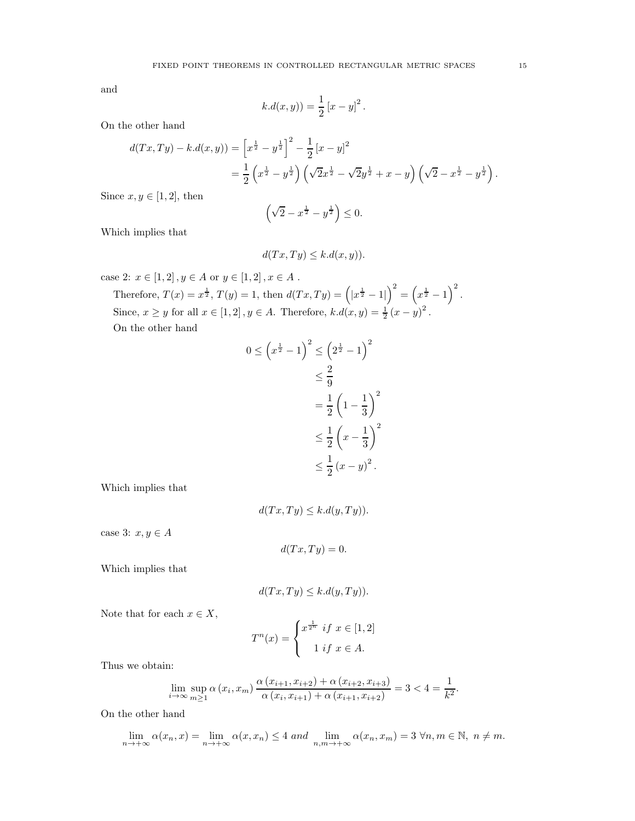and

Since

$$
k.d(x,y)) = \frac{1}{2} [x - y]^2.
$$

On the other hand

$$
d(Tx,Ty) - k.d(x,y)) = \left[x^{\frac{1}{2}} - y^{\frac{1}{2}}\right]^2 - \frac{1}{2}\left[x - y\right]^2
$$
  
=  $\frac{1}{2}\left(x^{\frac{1}{2}} - y^{\frac{1}{2}}\right)\left(\sqrt{2}x^{\frac{1}{2}} - \sqrt{2}y^{\frac{1}{2}} + x - y\right)\left(\sqrt{2} - x^{\frac{1}{2}} - y^{\frac{1}{2}}\right).$   
 $x, y \in [1,2],$  then

$$
\left(\sqrt{2} - x^{\frac{1}{2}} - y^{\frac{1}{2}}\right) \leq 0.
$$

Which implies that

$$
d(Tx,Ty) \le k.d(x,y)).
$$

case 2:  $x\in [1,2] \,, y\in A$  or  $y\in [1,2] \,, x\in A$  .

Therefore,  $T(x) = x^{\frac{1}{2}}$ ,  $T(y) = 1$ , then  $d(Tx, Ty) = (|x^{\frac{1}{2}} - 1|)^2 = (x^{\frac{1}{2}} - 1)^2$ . Since,  $x \ge y$  for all  $x \in [1, 2], y \in A$ . Therefore,  $k.d(x, y) = \frac{1}{2}(x - y)^2$ . On the other hand

$$
0 \le \left(x^{\frac{1}{2}} - 1\right)^2 \le \left(2^{\frac{1}{2}} - 1\right)^2
$$

$$
\le \frac{2}{9}
$$

$$
= \frac{1}{2}\left(1 - \frac{1}{3}\right)^2
$$

$$
\le \frac{1}{2}\left(x - \frac{1}{3}\right)^2
$$

$$
\le \frac{1}{2}\left(x - y\right)^2.
$$

Which implies that

$$
d(Tx,Ty) \le k.d(y,Ty)).
$$

case 3:  $x, y \in A$ 

$$
d(Tx,Ty)=0.
$$

Which implies that

$$
d(Tx,Ty) \le k.d(y,Ty)).
$$

Note that for each  $x \in X$ ,

$$
T^{n}(x) = \begin{cases} x^{\frac{1}{2^{n}}} & \text{if } x \in [1,2] \\ 1 & \text{if } x \in A. \end{cases}
$$

Thus we obtain:

$$
\lim_{i \to \infty} \sup_{m \ge 1} \alpha(x_i, x_m) \frac{\alpha(x_{i+1}, x_{i+2}) + \alpha(x_{i+2}, x_{i+3})}{\alpha(x_i, x_{i+1}) + \alpha(x_{i+1}, x_{i+2})} = 3 < 4 = \frac{1}{k^2}.
$$

On the other hand

$$
\lim_{n \to +\infty} \alpha(x_n, x) = \lim_{n \to +\infty} \alpha(x, x_n) \le 4 \text{ and } \lim_{n,m \to +\infty} \alpha(x_n, x_m) = 3 \forall n, m \in \mathbb{N}, n \ne m.
$$